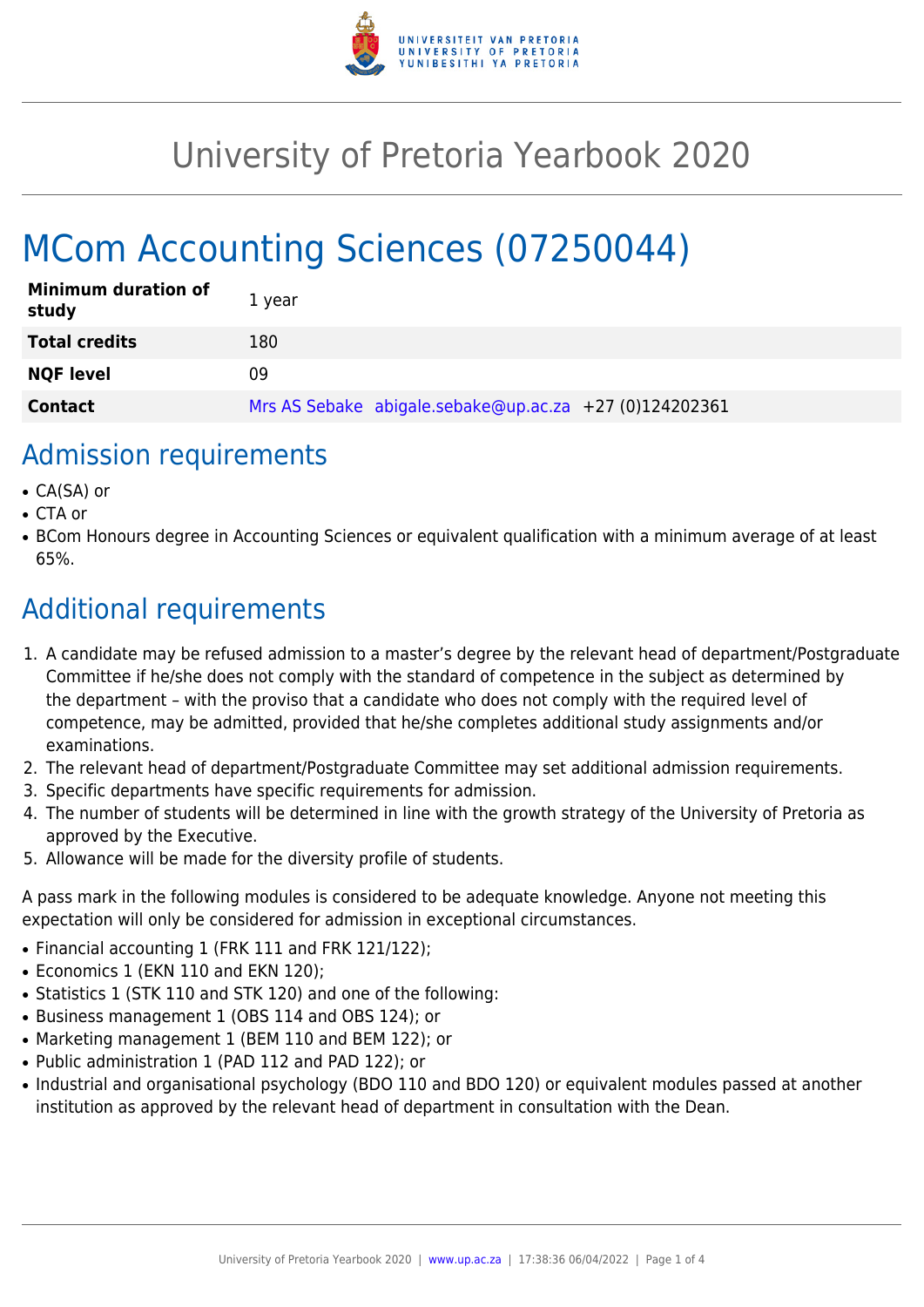

# University of Pretoria Yearbook 2020

# MCom Accounting Sciences (07250044)

| <b>Minimum duration of</b><br>study | 1 year                                                 |
|-------------------------------------|--------------------------------------------------------|
| <b>Total credits</b>                | 180                                                    |
| <b>NQF level</b>                    | 09                                                     |
| <b>Contact</b>                      | Mrs AS Sebake abigale.sebake@up.ac.za +27 (0)124202361 |

### Admission requirements

- CA(SA) or
- CTA or
- BCom Honours degree in Accounting Sciences or equivalent qualification with a minimum average of at least 65%.

# Additional requirements

- 1. A candidate may be refused admission to a master's degree by the relevant head of department/Postgraduate Committee if he/she does not comply with the standard of competence in the subject as determined by the department – with the proviso that a candidate who does not comply with the required level of competence, may be admitted, provided that he/she completes additional study assignments and/or examinations.
- 2. The relevant head of department/Postgraduate Committee may set additional admission requirements.
- 3. Specific departments have specific requirements for admission.
- 4. The number of students will be determined in line with the growth strategy of the University of Pretoria as approved by the Executive.
- 5. Allowance will be made for the diversity profile of students.

A pass mark in the following modules is considered to be adequate knowledge. Anyone not meeting this expectation will only be considered for admission in exceptional circumstances.

- Financial accounting 1 (FRK 111 and FRK 121/122);
- Economics 1 (EKN 110 and EKN 120):
- Statistics 1 (STK 110 and STK 120) and one of the following:
- Business management 1 (OBS 114 and OBS 124); or
- Marketing management 1 (BEM 110 and BEM 122); or
- Public administration 1 (PAD 112 and PAD 122); or
- Industrial and organisational psychology (BDO 110 and BDO 120) or equivalent modules passed at another institution as approved by the relevant head of department in consultation with the Dean.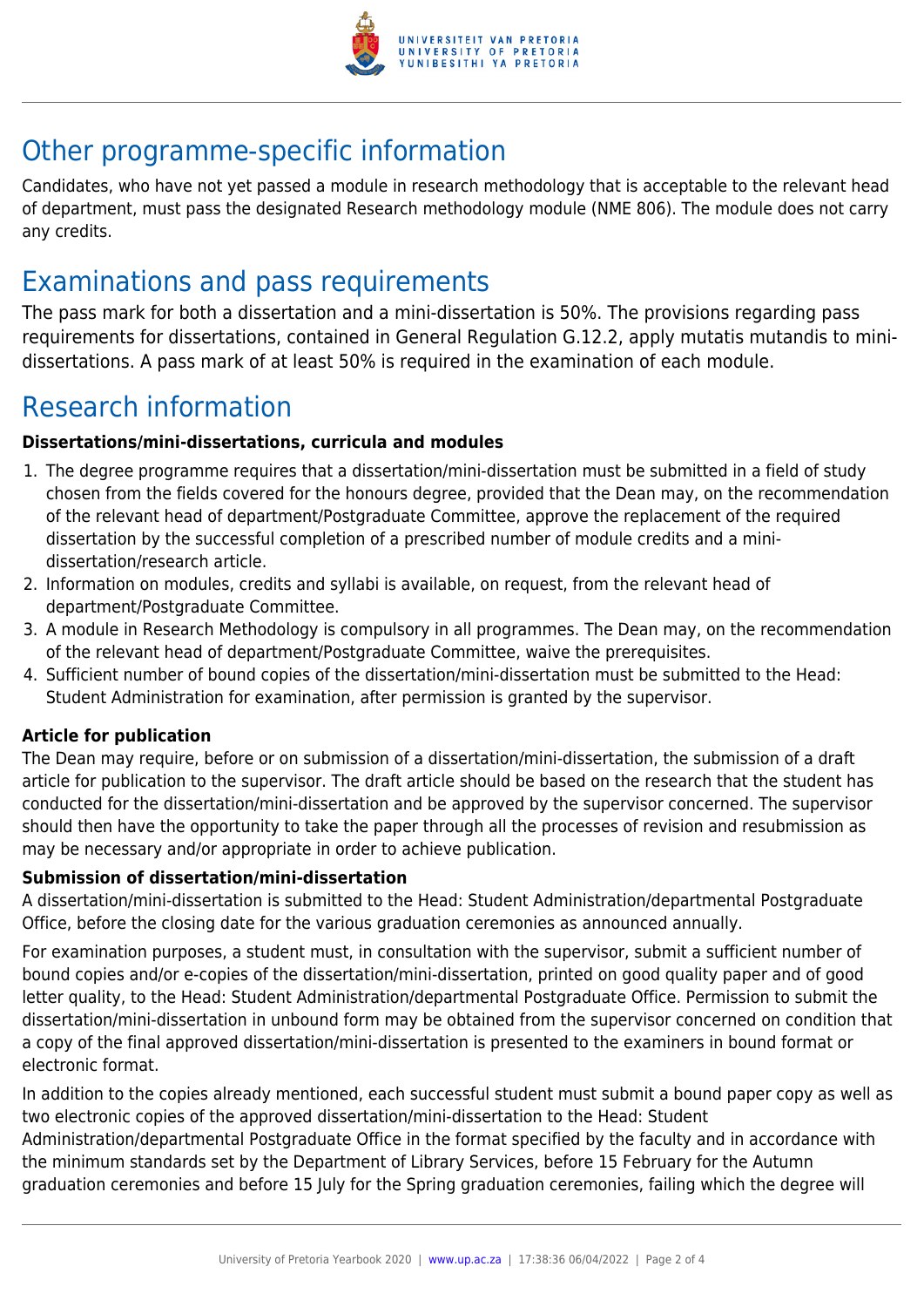

## Other programme-specific information

Candidates, who have not yet passed a module in research methodology that is acceptable to the relevant head of department, must pass the designated Research methodology module (NME 806). The module does not carry any credits.

## Examinations and pass requirements

The pass mark for both a dissertation and a mini-dissertation is 50%. The provisions regarding pass requirements for dissertations, contained in General Regulation G.12.2, apply mutatis mutandis to minidissertations. A pass mark of at least 50% is required in the examination of each module.

# Research information

#### **Dissertations/mini-dissertations, curricula and modules**

- 1. The degree programme requires that a dissertation/mini-dissertation must be submitted in a field of study chosen from the fields covered for the honours degree, provided that the Dean may, on the recommendation of the relevant head of department/Postgraduate Committee, approve the replacement of the required dissertation by the successful completion of a prescribed number of module credits and a minidissertation/research article.
- 2. Information on modules, credits and syllabi is available, on request, from the relevant head of department/Postgraduate Committee.
- 3. A module in Research Methodology is compulsory in all programmes. The Dean may, on the recommendation of the relevant head of department/Postgraduate Committee, waive the prerequisites.
- 4. Sufficient number of bound copies of the dissertation/mini-dissertation must be submitted to the Head: Student Administration for examination, after permission is granted by the supervisor.

#### **Article for publication**

The Dean may require, before or on submission of a dissertation/mini-dissertation, the submission of a draft article for publication to the supervisor. The draft article should be based on the research that the student has conducted for the dissertation/mini-dissertation and be approved by the supervisor concerned. The supervisor should then have the opportunity to take the paper through all the processes of revision and resubmission as may be necessary and/or appropriate in order to achieve publication.

#### **Submission of dissertation/mini-dissertation**

A dissertation/mini-dissertation is submitted to the Head: Student Administration/departmental Postgraduate Office, before the closing date for the various graduation ceremonies as announced annually.

For examination purposes, a student must, in consultation with the supervisor, submit a sufficient number of bound copies and/or e-copies of the dissertation/mini-dissertation, printed on good quality paper and of good letter quality, to the Head: Student Administration/departmental Postgraduate Office. Permission to submit the dissertation/mini-dissertation in unbound form may be obtained from the supervisor concerned on condition that a copy of the final approved dissertation/mini-dissertation is presented to the examiners in bound format or electronic format.

In addition to the copies already mentioned, each successful student must submit a bound paper copy as well as two electronic copies of the approved dissertation/mini-dissertation to the Head: Student

Administration/departmental Postgraduate Office in the format specified by the faculty and in accordance with the minimum standards set by the Department of Library Services, before 15 February for the Autumn graduation ceremonies and before 15 July for the Spring graduation ceremonies, failing which the degree will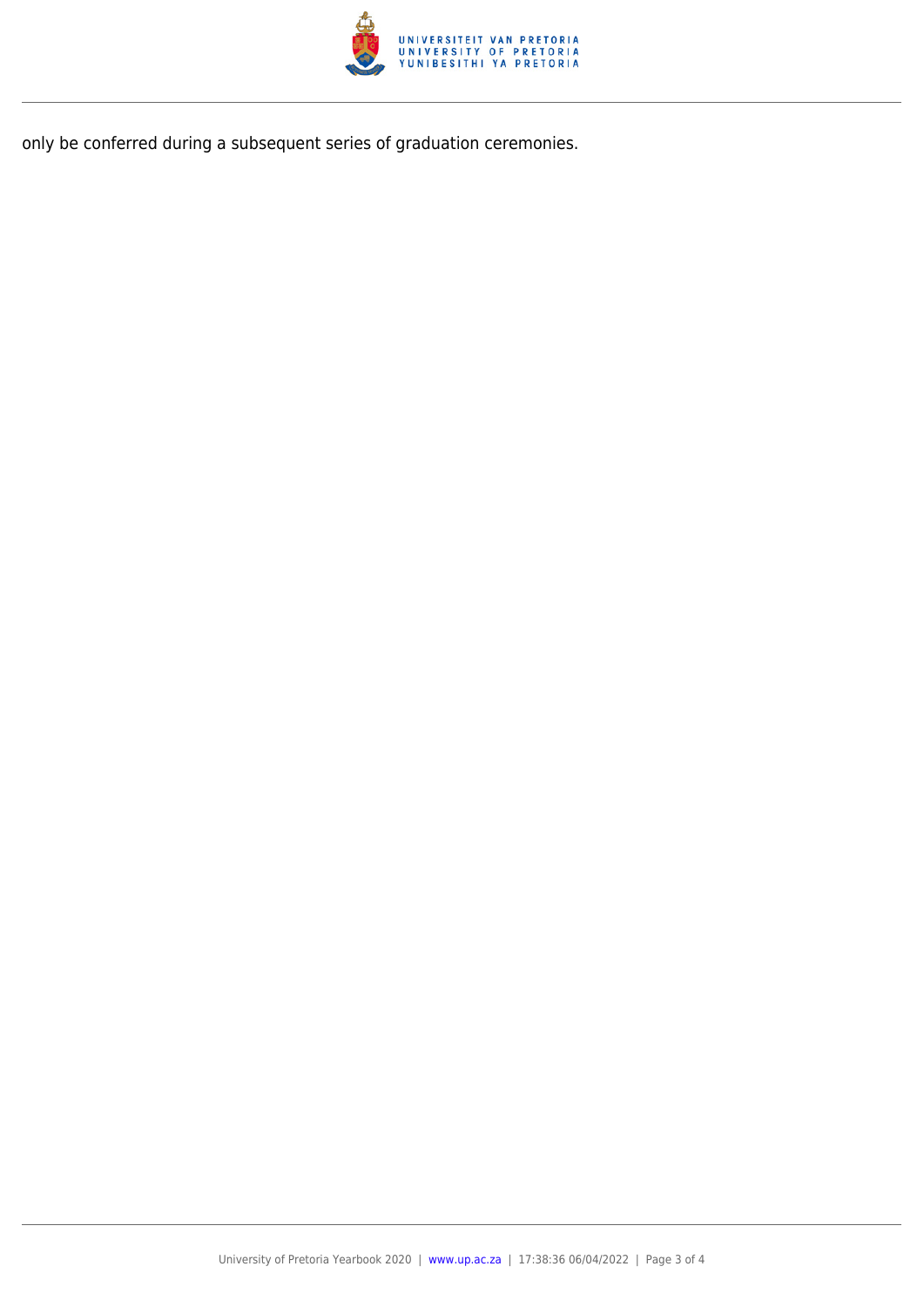

only be conferred during a subsequent series of graduation ceremonies.